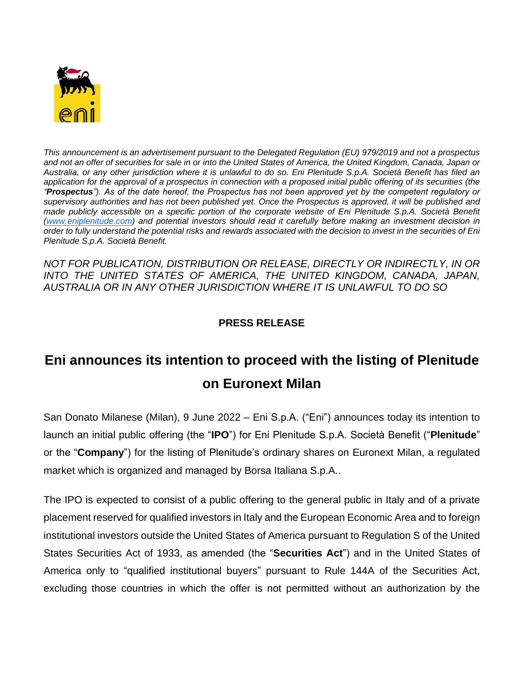

*This announcement is an advertisement pursuant to the Delegated Regulation (EU) 979/2019 and not a prospectus and not an offer of securities for sale in or into the United States of America, the United Kingdom, Canada, Japan or Australia, or any other jurisdiction where it is unlawful to do so. Eni Plenitude S.p.A. Società Benefit has filed an application for the approval of a prospectus in connection with a proposed initial public offering of its securities (the "Prospectus"). As of the date hereof, the Prospectus has not been approved yet by the competent regulatory or supervisory authorities and has not been published yet. Once the Prospectus is approved, it will be published and made publicly accessible on a specific portion of the corporate website of Eni Plenitude S.p.A. Società Benefit [\(www.eniplenitude.com\)](http://www.eniplenitude.com/) and potential investors should read it carefully before making an investment decision in order to fully understand the potential risks and rewards associated with the decision to invest in the securities of Eni Plenitude S.p.A. Società Benefit.*

*NOT FOR PUBLICATION, DISTRIBUTION OR RELEASE, DIRECTLY OR INDIRECTLY, IN OR INTO THE UNITED STATES OF AMERICA, THE UNITED KINGDOM, CANADA, JAPAN, AUSTRALIA OR IN ANY OTHER JURISDICTION WHERE IT IS UNLAWFUL TO DO SO*

## **PRESS RELEASE**

## **Eni announces its intention to proceed with the listing of Plenitude on Euronext Milan**

San Donato Milanese (Milan), 9 June 2022 – Eni S.p.A. ("Eni") announces today its intention to launch an initial public offering (the "**IPO**") for Eni Plenitude S.p.A. Società Benefit ("**Plenitude**" or the "**Company**") for the listing of Plenitude's ordinary shares on Euronext Milan, a regulated market which is organized and managed by Borsa Italiana S.p.A..

The IPO is expected to consist of a public offering to the general public in Italy and of a private placement reserved for qualified investors in Italy and the European Economic Area and to foreign institutional investors outside the United States of America pursuant to Regulation S of the United States Securities Act of 1933, as amended (the "**Securities Act**") and in the United States of America only to "qualified institutional buyers" pursuant to Rule 144A of the Securities Act, excluding those countries in which the offer is not permitted without an authorization by the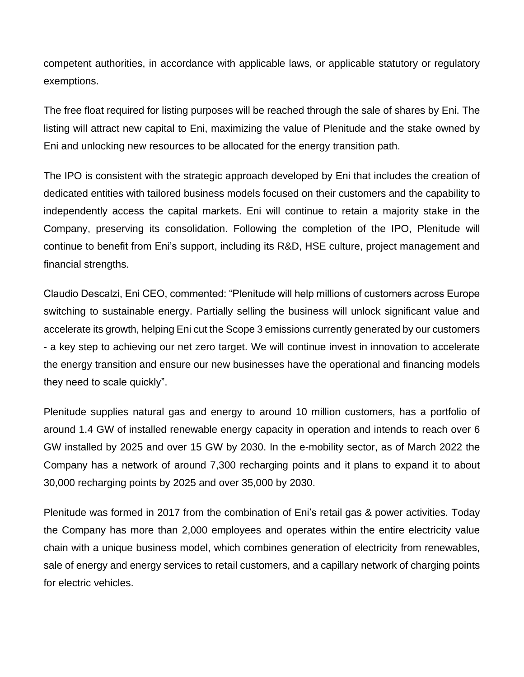competent authorities, in accordance with applicable laws, or applicable statutory or regulatory exemptions.

The free float required for listing purposes will be reached through the sale of shares by Eni. The listing will attract new capital to Eni, maximizing the value of Plenitude and the stake owned by Eni and unlocking new resources to be allocated for the energy transition path.

The IPO is consistent with the strategic approach developed by Eni that includes the creation of dedicated entities with tailored business models focused on their customers and the capability to independently access the capital markets. Eni will continue to retain a majority stake in the Company, preserving its consolidation. Following the completion of the IPO, Plenitude will continue to benefit from Eni's support, including its R&D, HSE culture, project management and financial strengths.

Claudio Descalzi, Eni CEO, commented: "Plenitude will help millions of customers across Europe switching to sustainable energy. Partially selling the business will unlock significant value and accelerate its growth, helping Eni cut the Scope 3 emissions currently generated by our customers - a key step to achieving our net zero target. We will continue invest in innovation to accelerate the energy transition and ensure our new businesses have the operational and financing models they need to scale quickly".

Plenitude supplies natural gas and energy to around 10 million customers, has a portfolio of around 1.4 GW of installed renewable energy capacity in operation and intends to reach over 6 GW installed by 2025 and over 15 GW by 2030. In the e-mobility sector, as of March 2022 the Company has a network of around 7,300 recharging points and it plans to expand it to about 30,000 recharging points by 2025 and over 35,000 by 2030.

Plenitude was formed in 2017 from the combination of Eni's retail gas & power activities. Today the Company has more than 2,000 employees and operates within the entire electricity value chain with a unique business model, which combines generation of electricity from renewables, sale of energy and energy services to retail customers, and a capillary network of charging points for electric vehicles.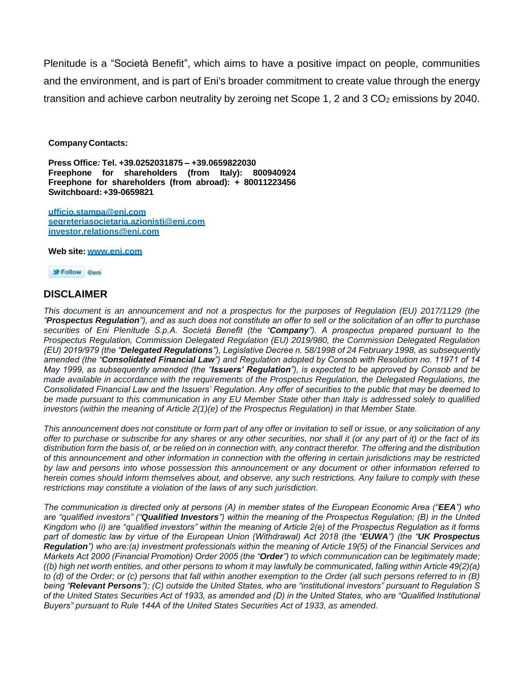Plenitude is a "Società Benefit", which aims to have a positive impact on people, communities and the environment, and is part of Eni's broader commitment to create value through the energy transition and achieve carbon neutrality by zeroing net Scope 1, 2 and 3 CO<sub>2</sub> emissions by 2040.

**Company Contacts:**

**Press Office***:* **Tel. +39.0252031875 – +39.0659822030 Freephone for shareholders (from Italy): 800940924 Freephone for shareholders (from abroad): + 80011223456 Switchboard: +39-0659821**

**[ufficio.stampa@eni.com](mailto:ufficio.stampa@eni.com) [segreteriasocietaria.azionisti@eni.com](mailto:segreteriasocietaria.azionisti@eni.com) [investor.relations@eni.com](mailto:investor.relations@eni.com)**

**Web site: [www.eni.com](http://www.eni.com/)**

Follow Geni

## **DISCLAIMER**

*This document is an announcement and not a prospectus for the purposes of Regulation (EU) 2017/1129 (the "Prospectus Regulation"), and as such does not constitute an offer to sell or the solicitation of an offer to purchase securities of Eni Plenitude S.p.A. Società Benefit (the "Company"). A prospectus prepared pursuant to the Prospectus Regulation, Commission Delegated Regulation (EU) 2019/980, the Commission Delegated Regulation (EU) 2019/979 (the "Delegated Regulations"), Legislative Decree n. 58/1998 of 24 February 1998, as subsequently amended (the "Consolidated Financial Law") and Regulation adopted by Consob with Resolution no. 11971 of 14 May 1999, as subsequently amended (the "Issuers' Regulation"), is expected to be approved by Consob and be made available in accordance with the requirements of the Prospectus Regulation, the Delegated Regulations, the Consolidated Financial Law and the Issuers' Regulation. Any offer of securities to the public that may be deemed to be made pursuant to this communication in any EU Member State other than Italy is addressed solely to qualified investors (within the meaning of Article 2(1)(e) of the Prospectus Regulation) in that Member State.* 

*This announcement does not constitute or form part of any offer or invitation to sell or issue, or any solicitation of any offer to purchase or subscribe for any shares or any other securities, nor shall it (or any part of it) or the fact of its distribution form the basis of, or be relied on in connection with, any contract therefor. The offering and the distribution of this announcement and other information in connection with the offering in certain jurisdictions may be restricted by law and persons into whose possession this announcement or any document or other information referred to herein comes should inform themselves about, and observe, any such restrictions. Any failure to comply with these restrictions may constitute a violation of the laws of any such jurisdiction.* 

*The communication is directed only at persons (A) in member states of the European Economic Area ("EEA") who are "qualified investors" ("Qualified Investors") within the meaning of the Prospectus Regulation; (B) in the United Kingdom who (i) are "qualified investors" within the meaning of Article 2(e) of the Prospectus Regulation as it forms part of domestic law by virtue of the European Union (Withdrawal) Act 2018 (the "EUWA") (the "UK Prospectus Regulation") who are:(a) investment professionals within the meaning of Article 19(5) of the Financial Services and Markets Act 2000 (Financial Promotion) Order 2005 (the "Order") to which communication can be legitimately made; ((b) high net worth entities, and other persons to whom it may lawfully be communicated, falling within Article 49(2)(a) to (d) of the Order; or (c) persons that fall within another exemption to the Order (all such persons referred to in (B) being "Relevant Persons"); (C) outside the United States, who are "institutional investors" pursuant to Regulation S of the United States Securities Act of 1933, as amended and (D) in the United States, who are "Qualified Institutional Buyers" pursuant to Rule 144A of the United States Securities Act of 1933, as amended.*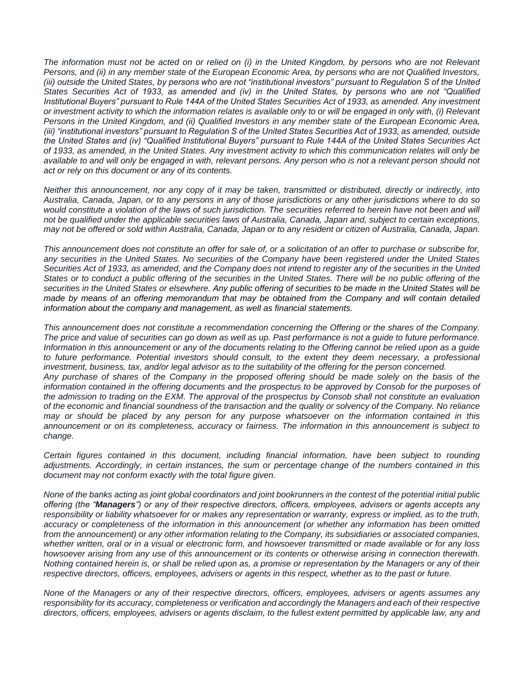*The information must not be acted on or relied on (i) in the United Kingdom, by persons who are not Relevant Persons, and (ii) in any member state of the European Economic Area, by persons who are not Qualified Investors, (iii) outside the United States, by persons who are not "institutional investors" pursuant to Regulation S of the United States Securities Act of 1933, as amended and (iv) in the United States, by persons who are not "Qualified Institutional Buyers" pursuant to Rule 144A of the United States Securities Act of 1933, as amended. Any investment or investment activity to which the information relates is available only to or will be engaged in only with, (i) Relevant Persons in the United Kingdom, and (ii) Qualified Investors in any member state of the European Economic Area, (iii) "institutional investors" pursuant to Regulation S of the United States Securities Act of 1933, as amended, outside the United States and (iv) "Qualified Institutional Buyers" pursuant to Rule 144A of the United States Securities Act of 1933, as amended, in the United States. Any investment activity to which this communication relates will only be available to and will only be engaged in with, relevant persons. Any person who is not a relevant person should not act or rely on this document or any of its contents.* 

*Neither this announcement, nor any copy of it may be taken, transmitted or distributed, directly or indirectly, into Australia, Canada, Japan, or to any persons in any of those jurisdictions or any other jurisdictions where to do so would constitute a violation of the laws of such jurisdiction. The securities referred to herein have not been and will not be qualified under the applicable securities laws of Australia, Canada, Japan and, subject to certain exceptions, may not be offered or sold within Australia, Canada, Japan or to any resident or citizen of Australia, Canada, Japan.* 

*This announcement does not constitute an offer for sale of, or a solicitation of an offer to purchase or subscribe for, any securities in the United States. No securities of the Company have been registered under the United States Securities Act of 1933, as amended, and the Company does not intend to register any of the securities in the United States or to conduct a public offering of the securities in the United States. There will be no public offering of the securities in the United States or elsewhere. Any public offering of securities to be made in the United States will be made by means of an offering memorandum that may be obtained from the Company and will contain detailed information about the company and management, as well as financial statements.*

*This announcement does not constitute a recommendation concerning the Offering or the shares of the Company. The price and value of securities can go down as well as up. Past performance is not a guide to future performance. Information in this announcement or any of the documents relating to the Offering cannot be relied upon as a guide*  to future performance. Potential investors should consult, to the extent they deem necessary, a professional *investment, business, tax, and/or legal advisor as to the suitability of the offering for the person concerned. Any purchase of shares of the Company in the proposed offering should be made solely on the basis of the information contained in the offering documents and the prospectus to be approved by Consob for the purposes of the admission to trading on the EXM. The approval of the prospectus by Consob shall not constitute an evaluation of the economic and financial soundness of the transaction and the quality or solvency of the Company. No reliance may or should be placed by any person for any purpose whatsoever on the information contained in this announcement or on its completeness, accuracy or fairness. The information in this announcement is subject to change.*

*Certain figures contained in this document, including financial information, have been subject to rounding adjustments. Accordingly, in certain instances, the sum or percentage change of the numbers contained in this document may not conform exactly with the total figure given.* 

*None of the banks acting as joint global coordinators and joint bookrunners in the contest of the potential initial public offering (the "Managers") or any of their respective directors, officers, employees, advisers or agents accepts any responsibility or liability whatsoever for or makes any representation or warranty, express or implied, as to the truth, accuracy or completeness of the information in this announcement (or whether any information has been omitted from the announcement) or any other information relating to the Company, its subsidiaries or associated companies, whether written, oral or in a visual or electronic form, and howsoever transmitted or made available or for any loss howsoever arising from any use of this announcement or its contents or otherwise arising in connection therewith. Nothing contained herein is, or shall be relied upon as, a promise or representation by the Managers or any of their respective directors, officers, employees, advisers or agents in this respect, whether as to the past or future.* 

*None of the Managers or any of their respective directors, officers, employees, advisers or agents assumes any responsibility for its accuracy, completeness or verification and accordingly the Managers and each of their respective directors, officers, employees, advisers or agents disclaim, to the fullest extent permitted by applicable law, any and*